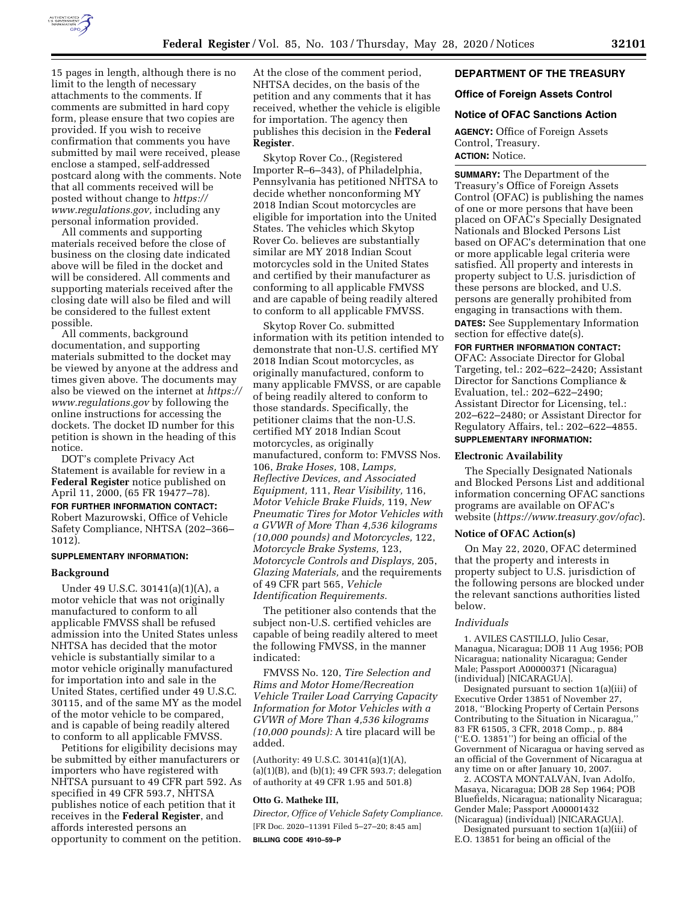

15 pages in length, although there is no limit to the length of necessary attachments to the comments. If comments are submitted in hard copy form, please ensure that two copies are provided. If you wish to receive confirmation that comments you have submitted by mail were received, please enclose a stamped, self-addressed postcard along with the comments. Note that all comments received will be posted without change to *[https://](https://www.regulations.gov) [www.regulations.gov,](https://www.regulations.gov)* including any personal information provided.

All comments and supporting materials received before the close of business on the closing date indicated above will be filed in the docket and will be considered. All comments and supporting materials received after the closing date will also be filed and will be considered to the fullest extent possible.

All comments, background documentation, and supporting materials submitted to the docket may be viewed by anyone at the address and times given above. The documents may also be viewed on the internet at *[https://](https://www.regulations.gov) [www.regulations.gov](https://www.regulations.gov)* by following the online instructions for accessing the dockets. The docket ID number for this petition is shown in the heading of this notice.

DOT's complete Privacy Act Statement is available for review in a **Federal Register** notice published on April 11, 2000, (65 FR 19477–78).

**FOR FURTHER INFORMATION CONTACT:**  Robert Mazurowski, Office of Vehicle Safety Compliance, NHTSA (202–366– 1012).

## **SUPPLEMENTARY INFORMATION:**

#### **Background**

Under 49 U.S.C. 30141(a)(1)(A), a motor vehicle that was not originally manufactured to conform to all applicable FMVSS shall be refused admission into the United States unless NHTSA has decided that the motor vehicle is substantially similar to a motor vehicle originally manufactured for importation into and sale in the United States, certified under 49 U.S.C. 30115, and of the same MY as the model of the motor vehicle to be compared, and is capable of being readily altered to conform to all applicable FMVSS.

Petitions for eligibility decisions may be submitted by either manufacturers or importers who have registered with NHTSA pursuant to 49 CFR part 592. As specified in 49 CFR 593.7, NHTSA publishes notice of each petition that it receives in the **Federal Register**, and affords interested persons an opportunity to comment on the petition.

At the close of the comment period, NHTSA decides, on the basis of the petition and any comments that it has received, whether the vehicle is eligible for importation. The agency then publishes this decision in the **Federal Register**.

Skytop Rover Co., (Registered Importer R–6–343), of Philadelphia, Pennsylvania has petitioned NHTSA to decide whether nonconforming MY 2018 Indian Scout motorcycles are eligible for importation into the United States. The vehicles which Skytop Rover Co. believes are substantially similar are MY 2018 Indian Scout motorcycles sold in the United States and certified by their manufacturer as conforming to all applicable FMVSS and are capable of being readily altered to conform to all applicable FMVSS.

Skytop Rover Co. submitted information with its petition intended to demonstrate that non-U.S. certified MY 2018 Indian Scout motorcycles, as originally manufactured, conform to many applicable FMVSS, or are capable of being readily altered to conform to those standards. Specifically, the petitioner claims that the non-U.S. certified MY 2018 Indian Scout motorcycles, as originally manufactured, conform to: FMVSS Nos. 106, *Brake Hoses,* 108, *Lamps, Reflective Devices, and Associated Equipment,* 111, *Rear Visibility,* 116, *Motor Vehicle Brake Fluids,* 119, *New Pneumatic Tires for Motor Vehicles with a GVWR of More Than 4,536 kilograms (10,000 pounds) and Motorcycles,* 122, *Motorcycle Brake Systems,* 123, *Motorcycle Controls and Displays,* 205, *Glazing Materials,* and the requirements of 49 CFR part 565, *Vehicle Identification Requirements.* 

The petitioner also contends that the subject non-U.S. certified vehicles are capable of being readily altered to meet the following FMVSS, in the manner indicated:

FMVSS No. 120, *Tire Selection and Rims and Motor Home/Recreation Vehicle Trailer Load Carrying Capacity Information for Motor Vehicles with a GVWR of More Than 4,536 kilograms (10,000 pounds):* A tire placard will be added.

(Authority: 49 U.S.C. 30141(a)(1)(A), (a)(1)(B), and (b)(1); 49 CFR 593.7; delegation of authority at 49 CFR 1.95 and 501.8)

#### **Otto G. Matheke III,**

*Director, Office of Vehicle Safety Compliance.*  [FR Doc. 2020–11391 Filed 5–27–20; 8:45 am] **BILLING CODE 4910–59–P** 

## **DEPARTMENT OF THE TREASURY**

## **Office of Foreign Assets Control**

## **Notice of OFAC Sanctions Action**

**AGENCY:** Office of Foreign Assets Control, Treasury. **ACTION:** Notice.

**SUMMARY:** The Department of the Treasury's Office of Foreign Assets Control (OFAC) is publishing the names of one or more persons that have been placed on OFAC's Specially Designated Nationals and Blocked Persons List based on OFAC's determination that one or more applicable legal criteria were satisfied. All property and interests in property subject to U.S. jurisdiction of these persons are blocked, and U.S. persons are generally prohibited from engaging in transactions with them. **DATES:** See Supplementary Information section for effective date(s).

## **FOR FURTHER INFORMATION CONTACT:**

OFAC: Associate Director for Global Targeting, tel.: 202–622–2420; Assistant Director for Sanctions Compliance & Evaluation, tel.: 202–622–2490; Assistant Director for Licensing, tel.: 202–622–2480; or Assistant Director for Regulatory Affairs, tel.: 202–622–4855. **SUPPLEMENTARY INFORMATION:** 

## **Electronic Availability**

The Specially Designated Nationals and Blocked Persons List and additional information concerning OFAC sanctions programs are available on OFAC's website (*<https://www.treasury.gov/ofac>*).

## **Notice of OFAC Action(s)**

On May 22, 2020, OFAC determined that the property and interests in property subject to U.S. jurisdiction of the following persons are blocked under the relevant sanctions authorities listed below.

#### *Individuals*

1. AVILES CASTILLO, Julio Cesar, Managua, Nicaragua; DOB 11 Aug 1956; POB Nicaragua; nationality Nicaragua; Gender Male; Passport A00000371 (Nicaragua) (individual) [NICARAGUA].

Designated pursuant to section 1(a)(iii) of Executive Order 13851 of November 27, 2018, ''Blocking Property of Certain Persons Contributing to the Situation in Nicaragua,'' 83 FR 61505, 3 CFR, 2018 Comp., p. 884 (''E.O. 13851'') for being an official of the Government of Nicaragua or having served as an official of the Government of Nicaragua at any time on or after January 10, 2007.

2. ACOSTA MONTALVAN, Ivan Adolfo, Masaya, Nicaragua; DOB 28 Sep 1964; POB Bluefields, Nicaragua; nationality Nicaragua; Gender Male; Passport A00001432 (Nicaragua) (individual) [NICARAGUA]. Designated pursuant to section 1(a)(iii) of

E.O. 13851 for being an official of the